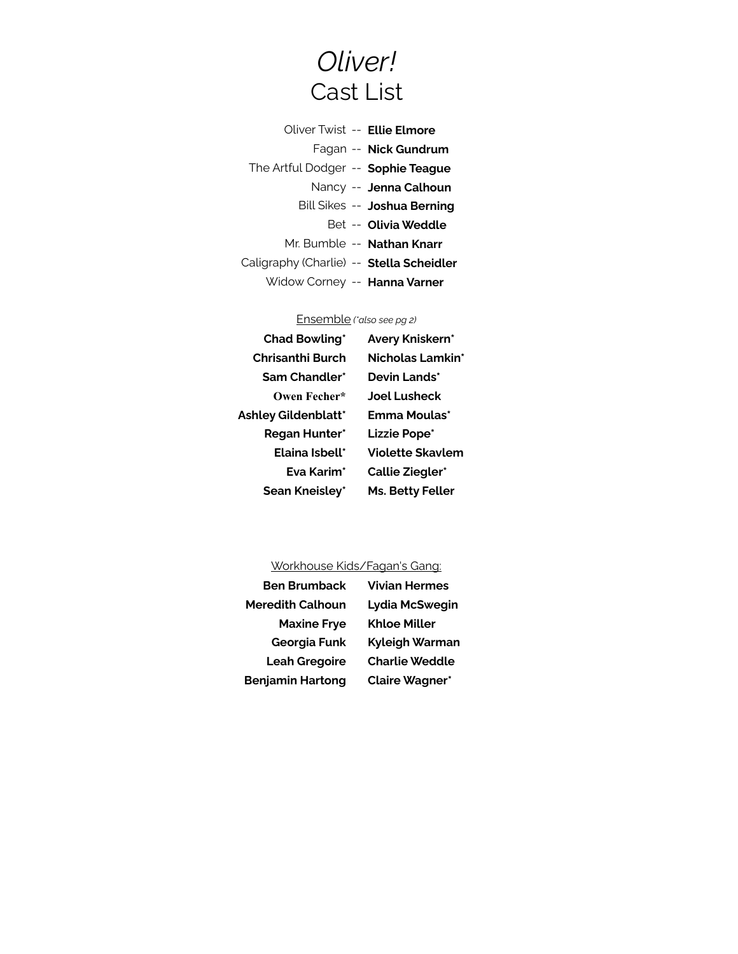## Oliver! Cast List

|                              | Oliver Twist -- Ellie Elmore             |
|------------------------------|------------------------------------------|
| Fagan -- <b>Nick Gundrum</b> |                                          |
|                              | The Artful Dodger -- Sophie Teague       |
| Nancy -- Jenna Calhoun       |                                          |
| Bill Sikes -- Joshua Berning |                                          |
| Bet -- Olivia Weddle         |                                          |
| Mr. Bumble -- Nathan Knarr   |                                          |
|                              | Caligraphy (Charlie) -- Stella Scheidler |
|                              | Widow Corney -- Hanna Varner             |

## Ensemble (\*also see pg 2)

| <b>Chad Bowling*</b>        | Avery Kniskern*         |
|-----------------------------|-------------------------|
| Chrisanthi Burch            | Nicholas Lamkin*        |
| Sam Chandler*               | Devin Lands*            |
| Owen Fecher*                | Joel Lusheck            |
| <b>Ashley Gildenblatt</b> * | Emma Moulas*            |
| <b>Regan Hunter*</b>        | Lizzie Pope*            |
| <b>Flaina Ishell*</b>       | <b>Violette Skavlem</b> |
| <b>Fya Karim*</b>           | <b>Callie Ziegler*</b>  |
| Sean Kneisley*              | <b>Ms. Betty Feller</b> |
|                             |                         |

## Workhouse Kids/Fagan's Gang:

| <b>Ben Brumback</b>     | <b>Vivian Hermes</b>  |
|-------------------------|-----------------------|
| <b>Meredith Calhoun</b> | Lydia McSwegin        |
| <b>Maxine Frye</b>      | <b>Khloe Miller</b>   |
| <b>Georgia Funk</b>     | Kyleigh Warman        |
| <b>Leah Gregoire</b>    | <b>Charlie Weddle</b> |
| <b>Benjamin Hartong</b> | <b>Claire Wagner*</b> |